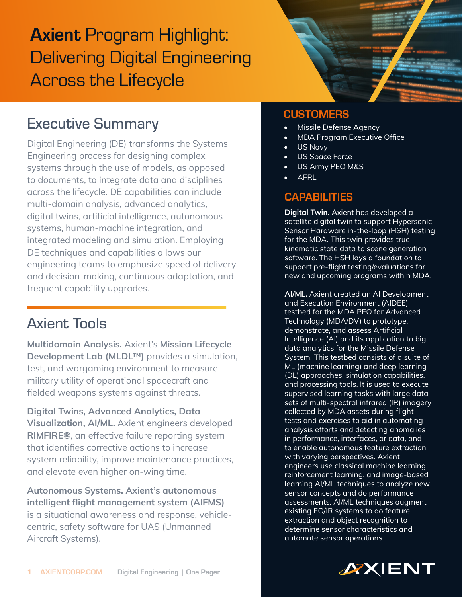# **Axient Program Highlight:** Delivering Digital Engineering Across the Lifecycle

## Executive Summary

Digital Engineering (DE) transforms the Systems Engineering process for designing complex systems through the use of models, as opposed to documents, to integrate data and disciplines across the lifecycle. DE capabilities can include multi-domain analysis, advanced analytics, digital twins, artificial intelligence, autonomous systems, human-machine integration, and integrated modeling and simulation. Employing DE techniques and capabilities allows our engineering teams to emphasize speed of delivery and decision-making, continuous adaptation, and frequent capability upgrades.

## Axient Tools

Multidomain Analysis. Axient's Mission Lifecycle Development Lab (MLDL™) provides a simulation, test, and wargaming environment to measure military utility of operational spacecraft and fielded weapons systems against threats.

Digital Twins, Advanced Analytics, Data Visualization, AI/ML. Axient engineers developed RIMFIRE®, an effective failure reporting system that identifies corrective actions to increase system reliability, improve maintenance practices, and elevate even higher on-wing time.

Autonomous Systems. Axient's autonomous intelligent flight management system (AIFMS) is a situational awareness and response, vehiclecentric, safety software for UAS (Unmanned Aircraft Systems).

### **CUSTOMERS**

- Missile Defense Agency
- MDA Program Executive Office
- US Navy
- US Space Force
- US Army PEO M&S
- AFRL

#### **CAPABILITIES**

Digital Twin. Axient has developed a satellite digital twin to support Hypersonic Sensor Hardware in-the-loop (HSH) testing for the MDA. This twin provides true kinematic state data to scene generation software. The HSH lays a foundation to support pre-flight testing/evaluations for new and upcoming programs within MDA.

AI/ML. Axient created an AI Development and Execution Environment (AIDEE) testbed for the MDA PEO for Advanced Technology (MDA/DV) to prototype, demonstrate, and assess Artificial Intelligence (AI) and its application to big data analytics for the Missile Defense System. This testbed consists of a suite of ML (machine learning) and deep learning (DL) approaches, simulation capabilities, and processing tools. It is used to execute supervised learning tasks with large data sets of multi-spectral infrared (IR) imagery collected by MDA assets during flight tests and exercises to aid in automating analysis efforts and detecting anomalies in performance, interfaces, or data, and to enable autonomous feature extraction with varying perspectives. Axient engineers use classical machine learning, reinforcement learning, and image-based learning AI/ML techniques to analyze new sensor concepts and do performance assessments. AI/ML techniques augment existing EO/IR systems to do feature extraction and object recognition to determine sensor characteristics and automate sensor operations.